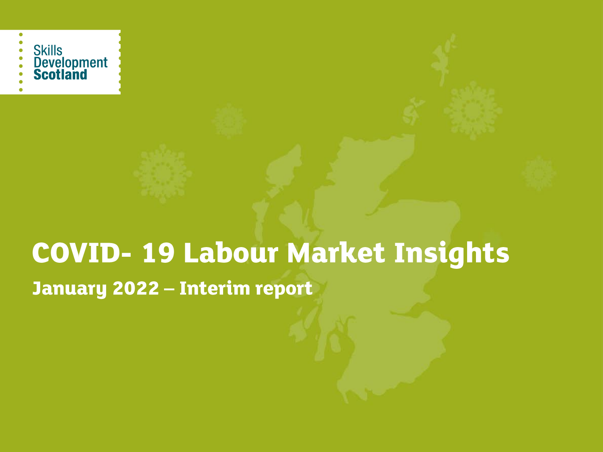

# **COVID-19 Labour Market Insights** January 2022 - Interim report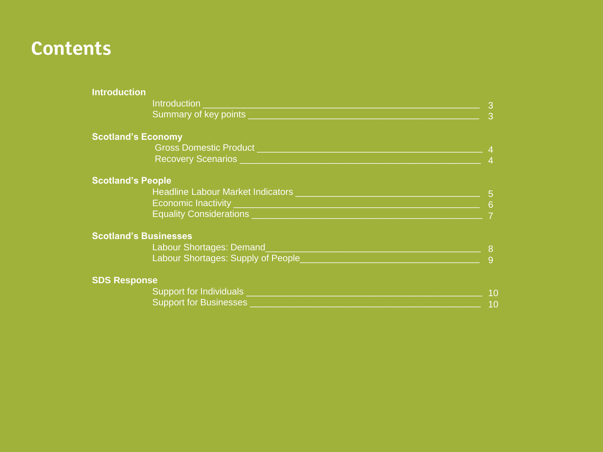## **Contents**

| <b>Introduction</b>                        |                |
|--------------------------------------------|----------------|
| Introduction                               | 3              |
| Summary of key points                      | 3              |
| <b>Scotland's Economy</b>                  |                |
| <b>Gross Domestic Product</b>              |                |
| Recovery Scenarios __                      | $\overline{4}$ |
| <b>Scotland's People</b>                   |                |
| Headline Labour Market Indicators ________ | 5              |
|                                            | 6              |
| <b>Equality Considerations</b>             |                |
| <b>Scotland's Businesses</b>               |                |
| Labour Shortages: Demand                   | 8              |
| Labour Shortages: Supply of People_        | 9              |
| <b>SDS Response</b>                        |                |
| Support for Individuals ______             |                |
| Support for Businesses ____                |                |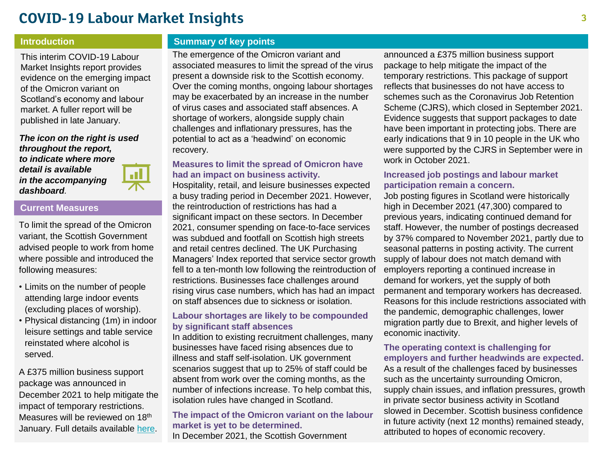### **COVID-19 Labour Market Insights**

This interim COVID-19 Labour Market Insights report provides evidence on the emerging impact of the Omicron variant on Scotland's economy and labour market. A fuller report will be published in late January.

*The icon on the right is used throughout the report, to indicate where more detail is available in the accompanying dashboard.* 



#### **Current Measures**

To limit the spread of the Omicron variant, the Scottish Government advised people to work from home where possible and introduced the following measures:

- Limits on the number of people attending large indoor events (excluding places of worship).
- Physical distancing (1m) in indoor leisure settings and table service reinstated where alcohol is served.

A £375 million business support package was announced in December 2021 to help mitigate the impact of temporary restrictions. Measures will be reviewed on 18<sup>th</sup> January. Full details available [here.](https://www.gov.scot/publications/coronavirus-covid-19-staying-safe-and-protecting-others/)

#### **Introduction Summary of key points**

The emergence of the Omicron variant and associated measures to limit the spread of the virus present a downside risk to the Scottish economy. Over the coming months, ongoing labour shortages may be exacerbated by an increase in the number of virus cases and associated staff absences. A shortage of workers, alongside supply chain challenges and inflationary pressures, has the potential to act as a 'headwind' on economic recovery.

#### **Measures to limit the spread of Omicron have had an impact on business activity.**

Hospitality, retail, and leisure businesses expected a busy trading period in December 2021. However, the reintroduction of restrictions has had a significant impact on these sectors. In December 2021, consumer spending on face-to-face services was subdued and footfall on Scottish high streets and retail centres declined. The UK Purchasing Managers' Index reported that service sector growth fell to a ten-month low following the reintroduction of restrictions. Businesses face challenges around rising virus case numbers, which has had an impact on staff absences due to sickness or isolation.

#### **Labour shortages are likely to be compounded by significant staff absences**

In addition to existing recruitment challenges, many businesses have faced rising absences due to illness and staff self-isolation. UK government scenarios suggest that up to 25% of staff could be absent from work over the coming months, as the number of infections increase. To help combat this, isolation rules have changed in Scotland.

#### **The impact of the Omicron variant on the labour market is yet to be determined.**

In December 2021, the Scottish Government

announced a £375 million business support package to help mitigate the impact of the temporary restrictions. This package of support reflects that businesses do not have access to schemes such as the Coronavirus Job Retention Scheme (CJRS), which closed in September 2021. Evidence suggests that support packages to date have been important in protecting jobs. There are early indications that 9 in 10 people in the UK who were supported by the CJRS in September were in work in October 2021.

#### **Increased job postings and labour market participation remain a concern.**

Job posting figures in Scotland were historically high in December 2021 (47,300) compared to previous years, indicating continued demand for staff. However, the number of postings decreased by 37% compared to November 2021, partly due to seasonal patterns in posting activity. The current supply of labour does not match demand with employers reporting a continued increase in demand for workers, yet the supply of both permanent and temporary workers has decreased. Reasons for this include restrictions associated with the pandemic, demographic challenges, lower migration partly due to Brexit, and higher levels of economic inactivity.

#### **The operating context is challenging for employers and further headwinds are expected.**

As a result of the challenges faced by businesses such as the uncertainty surrounding Omicron, supply chain issues, and inflation pressures, growth in private sector business activity in Scotland slowed in December. Scottish business confidence in future activity (next 12 months) remained steady, attributed to hopes of economic recovery.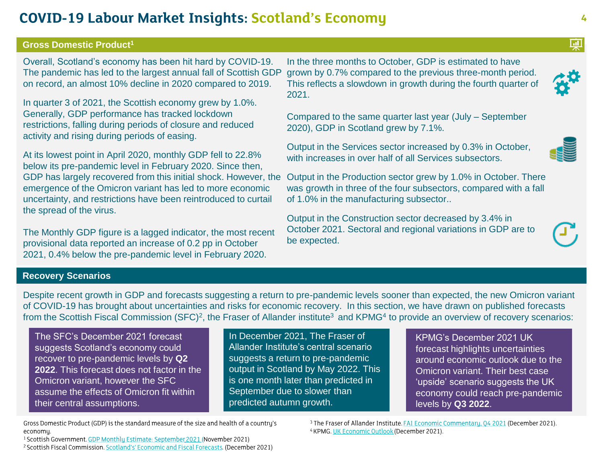### **COVID-19 Labour Market Insights: Scotland's Economy**

#### **Gross Domestic Product<sup>1</sup>**

Overall, Scotland's economy has been hit hard by COVID-19. The pandemic has led to the largest annual fall of Scottish GDP on record, an almost 10% decline in 2020 compared to 2019.

In quarter 3 of 2021, the Scottish economy grew by 1.0%. Generally, GDP performance has tracked lockdown restrictions, falling during periods of closure and reduced activity and rising during periods of easing.

At its lowest point in April 2020, monthly GDP fell to 22.8% below its pre-pandemic level in February 2020. Since then, GDP has largely recovered from this initial shock. However, the emergence of the Omicron variant has led to more economic uncertainty, and restrictions have been reintroduced to curtail the spread of the virus.

The Monthly GDP figure is a lagged indicator, the most recent provisional data reported an increase of 0.2 pp in October 2021, 0.4% below the pre-pandemic level in February 2020.

In the three months to October, GDP is estimated to have grown by 0.7% compared to the previous three-month period. This reflects a slowdown in growth during the fourth quarter of 2021.

Compared to the same quarter last year (July – September 2020), GDP in Scotland grew by 7.1%.

Output in the Services sector increased by 0.3% in October, with increases in over half of all Services subsectors.

Output in the Production sector grew by 1.0% in October. There was growth in three of the four subsectors, compared with a fall of 1.0% in the manufacturing subsector..

Output in the Construction sector decreased by 3.4% in October 2021. Sectoral and regional variations in GDP are to be expected.

#### **Recovery Scenarios**

Despite recent growth in GDP and forecasts suggesting a return to pre-pandemic levels sooner than expected, the new Omicron variant of COVID-19 has brought about uncertainties and risks for economic recovery. In this section, we have drawn on published forecasts from the Scottish Fiscal Commission (SFC)<sup>2</sup>, the Fraser of Allander institute<sup>3</sup> and KPMG<sup>4</sup> to provide an overview of recovery scenarios:

The SFC's December 2021 forecast suggests Scotland's economy could recover to pre-pandemic levels by **Q2 2022**. This forecast does not factor in the Omicron variant, however the SFC assume the effects of Omicron fit within their central assumptions.

In December 2021, The Fraser of Allander Institute's central scenario suggests a return to pre-pandemic output in Scotland by May 2022. This is one month later than predicted in September due to slower than predicted autumn growth.

KPMG's December 2021 UK forecast highlights uncertainties around economic outlook due to the Omicron variant. Their best case 'upside' scenario suggests the UK economy could reach pre-pandemic levels by **Q3 2022**.

Gross Domestic Product (GDP) is the standard measure of the size and health of a country's economy.

<sup>1</sup> Scottish Government. GDP Monthly Estimate: September 2021 (November 2021) <sup>2</sup> Scottish Fiscal Commission. Scotland's' Economic and Fiscal Forecasts. (December 2021) <sup>3</sup> The Fraser of Allander Institute. FAI Economic Commentary, 04 2021 (December 2021). <sup>4</sup> KPMG. UK Economic Outlook (December 2021).





団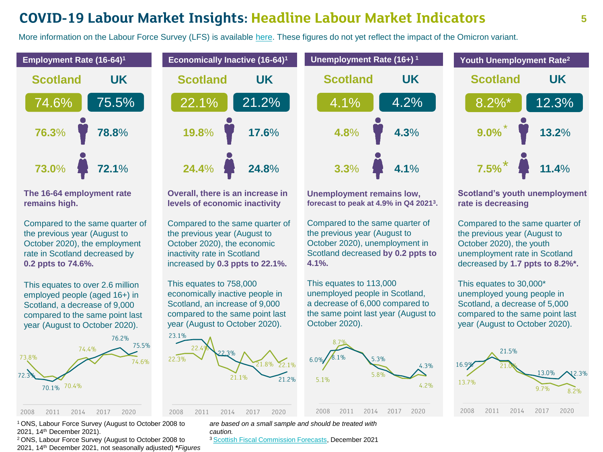### **COVID-19 Labour Market Insights: Headline Labour Market Indicators**

More information on the Labour Force Survey (LFS) is available [here](https://www.ons.gov.uk/employmentandlabourmarket/peopleinwork/employmentandemployeetypes/articles/impactofreweightingonlabourforcesurveykeyindicatorsukcountries/2020). These figures do not yet reflect the impact of the Omicron variant.



**The 16-64 employment rate remains high.** 

Compared to the same quarter of the previous year (August to October 2020), the employment rate in Scotland decreased by **0.2 ppts to 74.6%.**

This equates to over 2.6 million employed people (aged 16+) in Scotland, a decrease of 9,000 compared to the same point last year (August to October 2020).





**Overall, there is an increase in levels of economic inactivity**

Compared to the same quarter of the previous year (August to October 2020), the economic inactivity rate in Scotland increased by **0.3 ppts to 22.1%.**

This equates to 758,000 economically inactive people in Scotland, an increase of 9,000 compared to the same point last year (August to October 2020).





**Scotland UK**

**4.3**%

4.2%

**4.1**%

**4.8**%

4.1%

**3.3**%

Compared to the same quarter of the previous year (August to October 2020), unemployment in Scotland decreased **by 0.2 ppts to 4.1%.** 

This equates to 113,000 unemployed people in Scotland, a decrease of 6,000 compared to the same point last year (August to October 2020).





**Scotland's youth unemployment rate is decreasing**

Compared to the same quarter of the previous year (August to October 2020), the youth unemployment rate in Scotland decreased by **1.7 ppts to 8.2%\*.**

This equates to 30,000\* unemployed young people in Scotland, a decrease of 5,000 compared to the same point last year (August to October 2020).



<sup>1</sup>ONS, Labour Force Survey (August to October 2008 to 2021, 14th December 2021).

<sup>2</sup> ONS, Labour Force Survey (August to October 2008 to 2021, 14th December 2021, not seasonally adjusted) **\****Figures*  *are based on a small sample and should be treated with caution.*

<sup>3</sup> [Scottish Fiscal Commission Forecasts](https://www.fiscalcommission.scot/wp-content/uploads/2021/12/Scotland_s-Economic-and-Fiscal-Forecasts-December-2021-Full-report.pdf), December 2021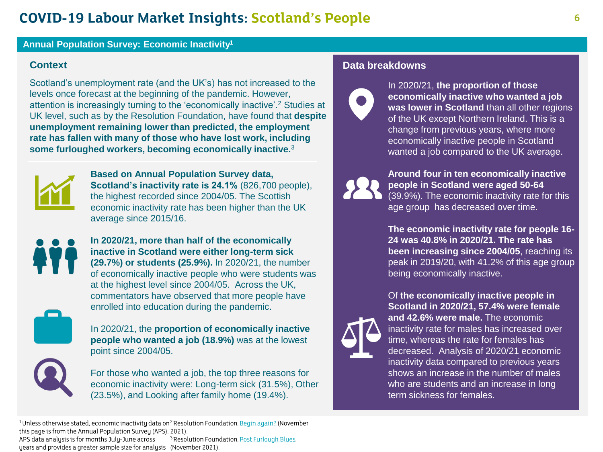### **COVID-19 Labour Market Insights: Scotland's People**

#### **Annual Population Survey: Economic Inactivity<sup>1</sup>**

Scotland's unemployment rate (and the UK's) has not increased to the levels once forecast at the beginning of the pandemic. However, attention is increasingly turning to the 'economically inactive'.<sup>2</sup> Studies at UK level, such as by the Resolution Foundation, have found that **despite unemployment remaining lower than predicted, the employment rate has fallen with many of those who have lost work, including some furloughed workers, becoming economically inactive.**<sup>3</sup>



**Based on Annual Population Survey data, Scotland's inactivity rate is 24.1%** (826,700 people), the highest recorded since 2004/05. The Scottish economic inactivity rate has been higher than the UK average since 2015/16.



**In 2020/21, more than half of the economically inactive in Scotland were either long-term sick (29.7%) or students (25.9%).** In 2020/21, the number of economically inactive people who were students was at the highest level since 2004/05. Across the UK, commentators have observed that more people have enrolled into education during the pandemic.



In 2020/21, the **proportion of economically inactive people who wanted a job (18.9%)** was at the lowest point since 2004/05.



For those who wanted a job, the top three reasons for economic inactivity were: Long-term sick (31.5%), Other (23.5%), and Looking after family home (19.4%).

### **Context Context Data breakdowns**



In 2020/21, **the proportion of those economically inactive who wanted a job was lower in Scotland** than all other regions of the UK except Northern Ireland. This is a change from previous years, where more economically inactive people in Scotland wanted a job compared to the UK average.



**Around four in ten economically inactive people in Scotland were aged 50-64**  (39.9%). The economic inactivity rate for this age group has decreased over time.

**The economic inactivity rate for people 16- 24 was 40.8% in 2020/21. The rate has been increasing since 2004/05**, reaching its peak in 2019/20, with 41.2% of this age group being economically inactive.



Of **the economically inactive people in Scotland in 2020/21, 57.4% were female and 42.6% were male.** The economic inactivity rate for males has increased over time, whereas the rate for females has decreased. Analysis of 2020/21 economic inactivity data compared to previous years shows an increase in the number of males who are students and an increase in long term sickness for females.

<sup>1</sup> Unless otherwise stated, economic inactivity data on<sup>2</sup> Resolution Foundation. Begin again? (November this page is from the Annual Population Survey (APS). 2021).

APS data analysis is for months July-June across <sup>3</sup> Resolution Foundation. Post Furlough Blues. years and provides a greater sample size for analysis (November 2021).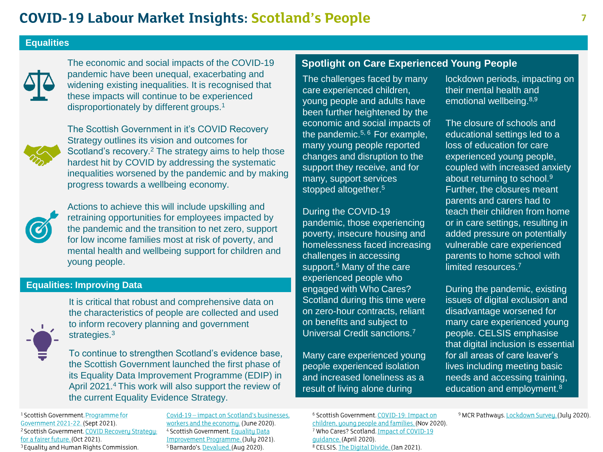#### **Equalities**



The economic and social impacts of the COVID-19 pandemic have been unequal, exacerbating and widening existing inequalities. It is recognised that these impacts will continue to be experienced disproportionately by different groups.<sup>1</sup>



The Scottish Government in it's COVID Recovery Strategy outlines its vision and outcomes for Scotland's recovery.<sup>2</sup> The strategy aims to help those hardest hit by COVID by addressing the systematic inequalities worsened by the pandemic and by making progress towards a wellbeing economy.



Actions to achieve this will include upskilling and retraining opportunities for employees impacted by the pandemic and the transition to net zero, support for low income families most at risk of poverty, and mental health and wellbeing support for children and young people.

#### **Equalities: Improving Data**



It is critical that robust and comprehensive data on the characteristics of people are collected and used to inform recovery planning and government strategies.<sup>3</sup>

To continue to strengthen Scotland's evidence base, the Scottish Government launched the first phase of its Equality Data Improvement Programme (EDIP) in April 2021.<sup>4</sup>This work will also support the review of the current Equality Evidence Strategy.

<sup>1</sup> Scottish Government. Programme for Government 2021-22. (Sept 2021). <sup>2</sup> Scottish Government. COVID Recovery Strategy: for a fairer future. (Oct 2021). <sup>3</sup> Equality and Human Rights Commission.

Covid-19 - impact on Scotland's businesses. workers and the economy. (June 2020). <sup>4</sup> Scottish Government. Equality Data Improvement Programme. (July 2021). <sup>5</sup> Barnardo's. Devalued. (Aug 2020).

### **Spotlight on Care Experienced Young People**

The challenges faced by many care experienced children, young people and adults have been further heightened by the economic and social impacts of the pandemic.<sup>5, 6</sup> For example, many young people reported changes and disruption to the support they receive, and for many, support services stopped altogether.<sup>5</sup>

During the COVID-19 pandemic, those experiencing poverty, insecure housing and homelessness faced increasing challenges in accessing support.<sup>5</sup> Many of the care experienced people who engaged with Who Cares? Scotland during this time were on zero-hour contracts, reliant on benefits and subject to Universal Credit sanctions.<sup>7</sup>

Many care experienced young people experienced isolation and increased loneliness as a result of living alone during

<sup>6</sup> Scottish Government. COVID-19: Impact on children, young people and families. (Nov 2020). <sup>7</sup> Who Cares? Scotland. Impact of COVID-19 quidance. (April 2020). <sup>8</sup> CELSIS. The Digital Divide. (Jan 2021).

lockdown periods, impacting on their mental health and emotional wellbeing.8,9

The closure of schools and educational settings led to a loss of education for care experienced young people, coupled with increased anxiety about returning to school.<sup>9</sup> Further, the closures meant parents and carers had to teach their children from home or in care settings, resulting in added pressure on potentially vulnerable care experienced parents to home school with limited resources.<sup>7</sup>

During the pandemic, existing issues of digital exclusion and disadvantage worsened for many care experienced young people. CELSIS emphasise that digital inclusion is essential for all areas of care leaver's lives including meeting basic needs and accessing training, education and employment.<sup>8</sup>

<sup>9</sup> MCR Pathways. Lockdown Survey. (July 2020).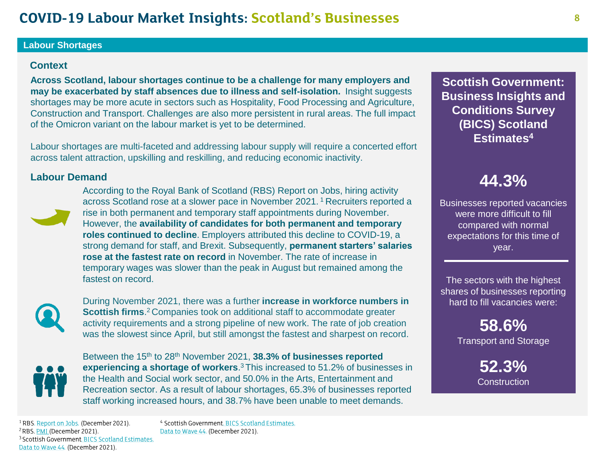### **COVID-19 Labour Market Insights: Scotland's Businesses**

#### **Labour Shortages**

#### **Context**

**Across Scotland, labour shortages continue to be a challenge for many employers and may be exacerbated by staff absences due to illness and self-isolation.** Insight suggests shortages may be more acute in sectors such as Hospitality, Food Processing and Agriculture, Construction and Transport. Challenges are also more persistent in rural areas. The full impact of the Omicron variant on the labour market is yet to be determined.

Labour shortages are multi-faceted and addressing labour supply will require a concerted effort across talent attraction, upskilling and reskilling, and reducing economic inactivity.

#### **Labour Demand**



According to the Royal Bank of Scotland (RBS) Report on Jobs, hiring activity across Scotland rose at a slower pace in November 2021. <sup>1</sup>Recruiters reported a rise in both permanent and temporary staff appointments during November. However, the **availability of candidates for both permanent and temporary roles continued to decline**. Employers attributed this decline to COVID-19, a strong demand for staff, and Brexit. Subsequently, **permanent starters' salaries rose at the fastest rate on record** in November. The rate of increase in temporary wages was slower than the peak in August but remained among the fastest on record.



During November 2021, there was a further **increase in workforce numbers in Scottish firms**.<sup>2</sup> Companies took on additional staff to accommodate greater activity requirements and a strong pipeline of new work. The rate of job creation was the slowest since April, but still amongst the fastest and sharpest on record.



Between the 15<sup>th</sup> to 28<sup>th</sup> November 2021, **38.3% of businesses reported experiencing a shortage of workers**. <sup>3</sup>This increased to 51.2% of businesses in the Health and Social work sector, and 50.0% in the Arts, Entertainment and Recreation sector. As a result of labour shortages, 65.3% of businesses reported staff working increased hours, and 38.7% have been unable to meet demands.

**Scottish Government: Business Insights and Conditions Survey (BICS) Scotland Estimates<sup>4</sup>**

## **44.3%**

Businesses reported vacancies were more difficult to fill compared with normal expectations for this time of year.

The sectors with the highest shares of businesses reporting hard to fill vacancies were:

> **58.6%** Transport and Storage

> > **52.3% Construction**

<sup>1</sup> RBS. Report on Jobs. (December 2021). <sup>2</sup> RBS. PMI (December 2021). <sup>3</sup> Scottish Government, BICS Scotland Estimates. Data to Wave 44. (December 2021).

<sup>4</sup> Scottish Government. BICS Scotland Estimates. Data to Wave 44. (December 2021).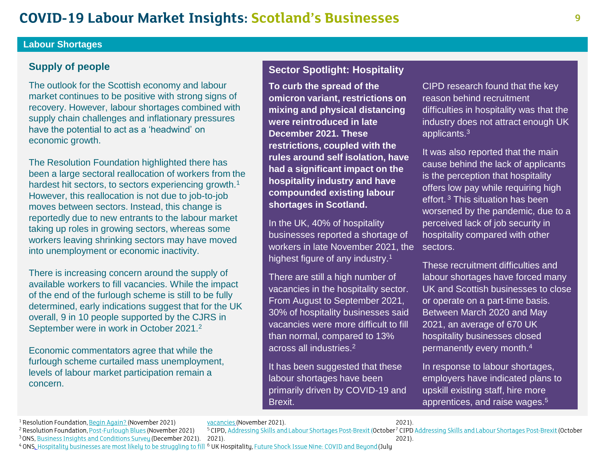#### **Labour Shortages**

#### **Supply of people**

The outlook for the Scottish economy and labour market continues to be positive with strong signs of recovery. However, labour shortages combined with supply chain challenges and inflationary pressures have the potential to act as a 'headwind' on economic growth.

The Resolution Foundation highlighted there has been a large sectoral reallocation of workers from the hardest hit sectors, to sectors experiencing growth.<sup>1</sup> However, this reallocation is not due to job-to-job moves between sectors. Instead, this change is reportedly due to new entrants to the labour market taking up roles in growing sectors, whereas some workers leaving shrinking sectors may have moved into unemployment or economic inactivity.

There is increasing concern around the supply of available workers to fill vacancies. While the impact of the end of the furlough scheme is still to be fully determined, early indications suggest that for the UK overall, 9 in 10 people supported by the CJRS in September were in work in October 2021.<sup>2</sup>

Economic commentators agree that while the furlough scheme curtailed mass unemployment, levels of labour market participation remain a concern.

#### **Sector Spotlight: Hospitality**

**To curb the spread of the omicron variant, restrictions on mixing and physical distancing were reintroduced in late December 2021. These restrictions, coupled with the rules around self isolation, have had a significant impact on the hospitality industry and have compounded existing labour shortages in Scotland.**

In the UK, 40% of hospitality businesses reported a shortage of workers in late November 2021, the sectors. highest figure of any industry.<sup>1</sup>

There are still a high number of vacancies in the hospitality sector. From August to September 2021, 30% of hospitality businesses said vacancies were more difficult to fill than normal, compared to 13% across all industries.<sup>2</sup>

It has been suggested that these labour shortages have been primarily driven by COVID-19 and Brexit.

 $2021$ ).

 $2021$ ).

CIPD research found that the key reason behind recruitment difficulties in hospitality was that the industry does not attract enough UK applicants.<sup>3</sup>

It was also reported that the main cause behind the lack of applicants is the perception that hospitality offers low pay while requiring high effort. <sup>3</sup> This situation has been worsened by the pandemic, due to a perceived lack of job security in hospitality compared with other

These recruitment difficulties and labour shortages have forced many UK and Scottish businesses to close or operate on a part-time basis. Between March 2020 and May 2021, an average of 670 UK hospitality businesses closed permanently every month.<sup>4</sup>

In response to labour shortages, employers have indicated plans to upskill existing staff, hire more apprentices, and raise wages.<sup>5</sup>

<sup>&</sup>lt;sup>1</sup> Resolution Foundation, Begin Again? (November 2021) vacancies (November 2021). <sup>5</sup>CIPD, Addressing Skills and Labour Shortages Post-Brexit (October<sup>7</sup> CIPD Addressing Skills and Labour Shortages Post-Brexit (October

<sup>&</sup>lt;sup>2</sup> Resolution Foundation, Post-Furlough Blues (November 2021)

<sup>&</sup>lt;sup>3</sup> ONS, Business Insights and Conditions Survey (December 2021).  $2021$ ).

<sup>4</sup> ONS, Hospitality businesses are most likely to be struggling to fill <sup>6</sup> UK Hospitality, Future Shock Issue Nine: COVID and Beyond (July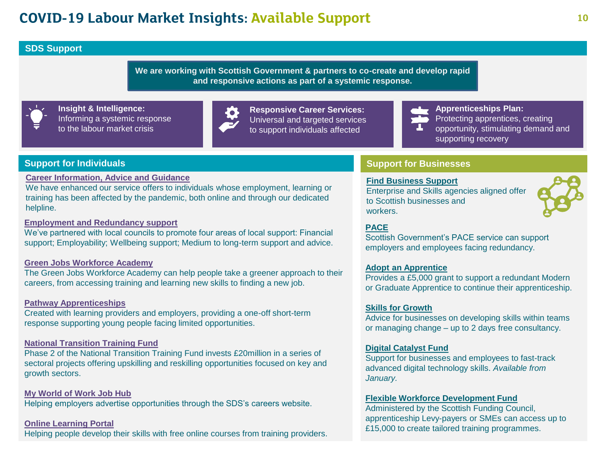### **COVID-19 Labour Market Insights: Available Support**

#### **SDS Support**

**We are working with Scottish Government & partners to co-create and develop rapid and responsive actions as part of a systemic response.**



**Insight & Intelligence:** Informing a systemic response to the labour market crisis



**Responsive Career Services:** Universal and targeted services to support individuals affected

**Apprenticeships Plan:** 

Protecting apprentices, creating

opportunity, stimulating demand and supporting recovery

#### **Support for Individuals**

**[Career Information, Advice and Guidance](https://www.myworldofwork.co.uk/)**

We have enhanced our service offers to individuals whose employment, learning or training has been affected by the pandemic, both online and through our dedicated helpline.

#### **[Employment and Redundancy support](https://www.myworldofwork.co.uk/employed)**

We've partnered with local councils to promote four areas of local support: Financial support; Employability; Wellbeing support; Medium to long-term support and advice.

#### **Green Jobs Workforce Academy**

The Green Jobs Workforce Academy can help people take a greener approach to their careers, from accessing training and learning new skills to finding a new job.

#### **Pathway Apprenticeships**

Created with learning providers and employers, providing a one-off short-term response supporting young people facing limited opportunities.

#### **[National Transition Training Fund](https://www.myworldofwork.co.uk/national-transition-training-fund)**

Phase 2 of the National Transition Training Fund invests £20million in a series of sectoral projects offering upskilling and reskilling opportunities focused on key and growth sectors.

**[My World of Work Job Hub](https://www.myworldofwork.co.uk/jobhub)** Helping employers advertise opportunities through the SDS's careers website.

#### **[Online Learning Portal](https://www.myworldofwork.co.uk/learn-and-train/find-free-online-courses)** Helping people develop their skills with free online courses from training providers.

#### **Support for Businesses**

#### **[Find Business Support](https://findbusinesssupport.gov.scot/)**

Enterprise and Skills agencies aligned offer to Scottish businesses and workers.



Scottish Government's PACE service can support employers and employees facing redundancy.

#### **[Adopt an Apprentice](https://www.ourskillsforce.co.uk/invest-in-young-people/adopt-an-apprentice/)**

Provides a £5,000 grant to support a redundant Modern or Graduate Apprentice to continue their apprenticeship.

#### **[Skills for Growth](../../February/Working%20Files/ourskillsforce.co.uk)**

Advice for businesses on developing skills within teams or managing change – up to 2 days free consultancy.

#### **[Digital Catalyst Fund](mailto:digitalcatalyst@sds.co.uk)**

Support for businesses and employees to fast-track advanced digital technology skills. *Available from January.*

#### **[Flexible Workforce Development Fund](http://www.sfc.ac.uk/)**

Administered by the Scottish Funding Council, apprenticeship Levy-payers or SMEs can access up to £15,000 to create tailored training programmes.